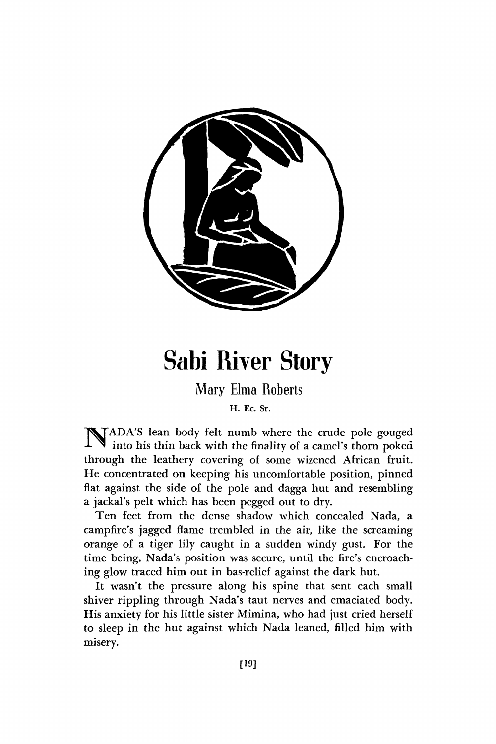

## Sabi River Story

Mary Elma Roberts

**H. Ec. Sr.** 

NADA'S lean body felt numb where the crude pole gouged into his thin back with the finality of a camel's thorn poked into his thin back with the finality of a camel's thorn poked through the leathery covering of some wizened African fruit. He concentrated on keeping his uncomfortable position, pinned flat against the side of the pole and dagga hut and resembling a jackal's pelt which has been pegged out to dry.

Ten feet from the dense shadow which concealed Nada, a campfire's jagged flame trembled in the air, like the screaming orange of a tiger lily caught in a sudden windy gust. For the time being, Nada's position was secure, until the fire's encroaching glow traced him out in bas-relief against the dark hut.

It wasn't the pressure along his spine that sent each small shiver rippling through Nada's taut nerves and emaciated body. His anxiety for his little sister Mimina, who had just cried herself to sleep in the hut against which Nada leaned, filled him with misery.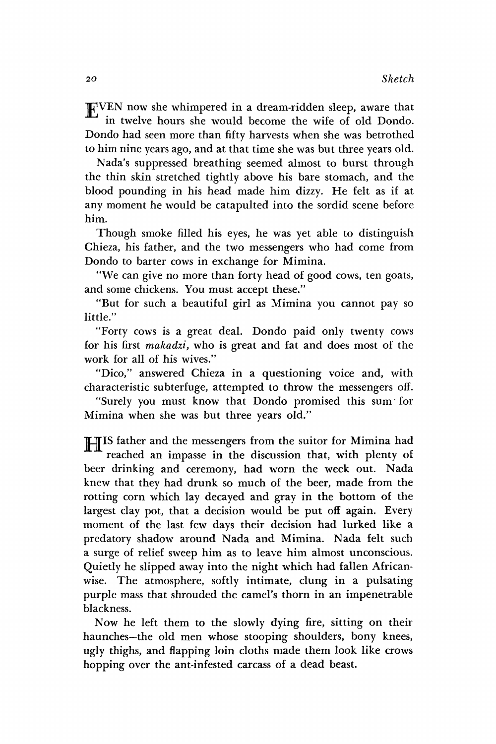EVEN now she whimpered in a dream-ridden sleep, aware that in twelve hours she would become the wife of old Dondo. Dondo had seen more than fifty harvests when she was betrothed to him nine years ago, and at that time she was but three years old.

Nada's suppressed breathing seemed almost to burst through the thin skin stretched tightly above his bare stomach, and the blood pounding in his head made him dizzy. He felt as if at any moment he would be catapulted into the sordid scene before him.

Though smoke filled his eyes, he was yet able to distinguish Chieza, his father, and the two messengers who had come from Dondo to barter cows in exchange for Mimina.

"We can give no more than forty head of good cows, ten goats, and some chickens. You must accept these."

"But for such a beautiful girl as Mimina you cannot pay so little."

"Forty cows is a great deal. Dondo paid only twenty cows for his first *makadzi,* who is great and fat and does most of the work for all of his wives."

"Dico," answered Chieza in a questioning voice and, with characteristic subterfuge, attempted to throw the messengers off.

"Surely you must know that Dondo promised this sum for Mimina when she was but three years old."

**IIS** father and the messengers from the suitor for Mimina had reached an impasse in the discussion that, with plenty of reached an impasse in the discussion that, with plenty of beer drinking and ceremony, had worn the week out. Nada knew that they had drunk so much of the beer, made from the rotting corn which lay decayed and gray in the bottom of the largest clay pot, that a decision would be put off again. Every moment of the last few days their decision had lurked like a predatory shadow around Nada and Mimina. Nada felt such a surge of relief sweep him as to leave him almost unconscious. Quietly he slipped away into the night which had fallen Africanwise. The atmosphere, softly intimate, clung in a pulsating purple mass that shrouded the camel's thorn in an impenetrable blackness.

Now he left them to the slowly dying fire, sitting on their haunches—the old men whose stooping shoulders, bony knees, ugly thighs, and flapping loin cloths made them look like crows hopping over the ant-infested carcass of a dead beast.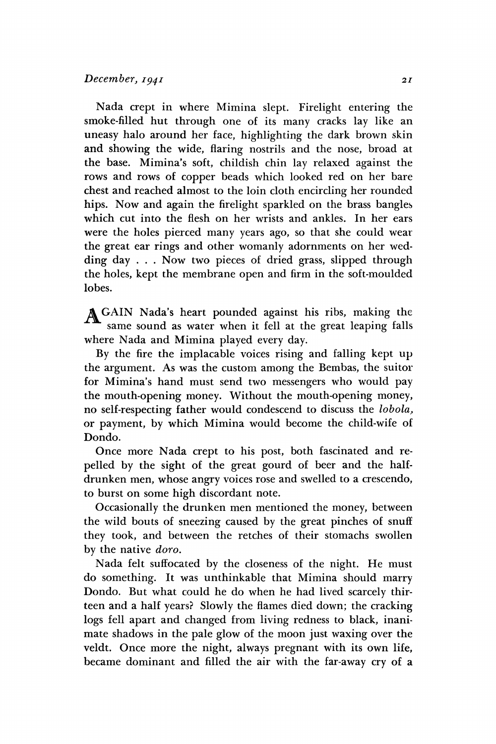## *December, 1941 <sup>21</sup>*

Nada crept in where Mimina slept. Firelight entering the smoke-filled hut through one of its many cracks lay like an uneasy halo around her face, highlighting the dark brown skin and showing the wide, flaring nostrils and the nose, broad at the base. Minima's soft, childish chin lay relaxed against the rows and rows of copper beads which looked red on her bare chest and reached almost to the loin cloth encircling her rounded hips. Now and again the firelight sparkled on the brass bangles which cut into the flesh on her wrists and ankles. In her ears were the holes pierced many years ago, so that she could wear the great ear rings and other womanly adornments on her wedding day . . . Now two pieces of dried grass, slipped through the holes, kept the membrane open and firm in the soft-moulded lobes.

AGAIN Nada's heart pounded against his ribs, making the same sound as water when it fell at the great leaping falls where Nada and Mimina played every day.

By the fire the implacable voices rising and falling kept up the argument. As was the custom among the Bembas, the suitor for Mimina's hand must send two messengers who would pay the mouth-opening money. Without the mouth-opening money, no self-respecting father would condescend to discuss the *lobola,*  or payment, by which Mimina would become the child-wife of Dondo.

Once more Nada crept to his post, both fascinated and repelled by the sight of the great gourd of beer and the halfdrunken men, whose angry voices rose and swelled to a crescendo, to burst on some high discordant note.

Occasionally the drunken men mentioned the money, between the wild bouts of sneezing caused by the great pinches of snuff they took, and between the retches of their stomachs swollen by the native *doro.* 

Nada felt suffocated by the closeness of the night. He must do something. It was unthinkable that Mimina should marry Dondo. But what could he do when he had lived scarcely thirteen and a half years? Slowly the flames died down; the cracking logs fell apart and changed from living redness to black, inanimate shadows in the pale glow of the moon just waxing over the veldt. Once more the night, always pregnant with its own life, became dominant and filled the air with the far-away cry of a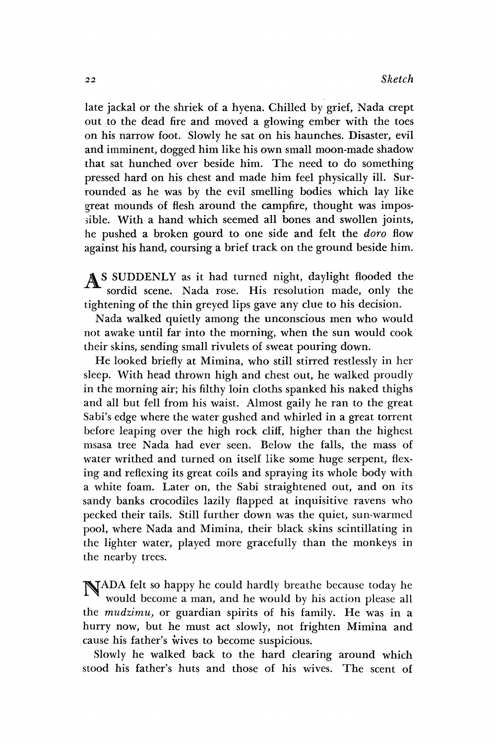late jackal or the shriek of a hyena. Chilled by grief, Nada crept out to the dead fire and moved a glowing ember with the toes on his narrow foot. Slowly he sat on his haunches. Disaster, evil and imminent, dogged him like his own small moon-made shadow that sat hunched over beside him. The need to do something pressed hard on his chest and made him feel physically ill. Surrounded as he was by the evil smelling bodies which lay like great mounds of flesh around the campfire, thought was impossible. With a hand which seemed all bones and swollen joints, he pushed a broken gourd to one side and felt the *doro* flow against his hand, coursing a brief track on the ground beside him.

A S SUDDENLY as it had turned night, daylight flooded the sordid scene. Nada rose. His resolution made, only the tightening of the thin greyed lips gave any clue to his decision.

Nada walked quietly among the unconscious men who would not awake until far into the morning, when the sun would cook their skins, sending small rivulets of sweat pouring down.

He looked briefly at Mimina, who still stirred restlessly in her sleep. With head thrown high and chest out, he walked proudly in the morning air; his filthy loin cloths spanked his naked thighs and all but fell from his waist. Almost gaily he ran to the great Sabi's edge where the water gushed and whirled in a great torrent before leaping over the high rock cliff, higher than the highest msasa tree Nada had ever seen. Below the falls, the mass of water writhed and turned on itself like some huge serpent, flexing and reflexing its great coils and spraying its whole body with a white foam. Later on, the Sabi straightened out, and on its sandy banks crocodiles lazily flapped at inquisitive ravens who pecked their tails. Still further down was the quiet, sun-warmed pool, where Nada and Mimina, their black skins scintillating in the lighter water, played more gracefully than the monkeys in the nearby trees.

NADA felt so happy he could hardly breathe because today he would become a man, and he would by his action please all the *mudzimu,* or guardian spirits of his family. He was in a hurry now, but he must act slowly, not frighten Mimina and cause his father's wives to become suspicious.

Slowly he walked back to the hard clearing around which stood his father's huts and those of his wives. The scent of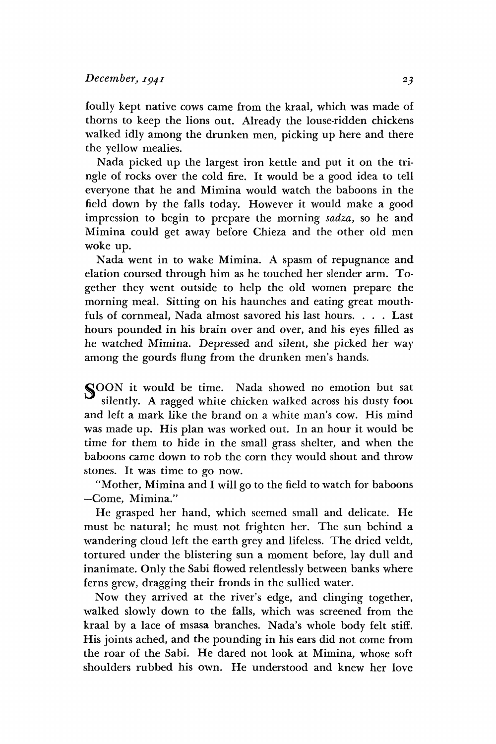foully kept native cows came from the kraal, which was made of thorns to keep the lions out. Already the louse-ridden chickens walked idly among the drunken men, picking up here and there the yellow mealies.

Nada picked up the largest iron kettle and put it on the tringle of rocks over the cold fire. It would be a good idea to tell everyone that he and Mimina would watch the baboons in the field down by the falls today. However it would make a good impression to begin to prepare the morning *sadza,* so he and Mimina could get away before Chieza and the other old men woke up.

Nada went in to wake Mimina. A spasm of repugnance and elation coursed through him as he touched her slender arm. Together they went outside to help the old women prepare the morning meal. Sitting on his haunches and eating great mouthfuls of cornmeal, Nada almost savored his last hours. . . . Last hours pounded in his brain over and over, and his eyes filled as he watched Mimina. Depressed and silent, she picked her way among the gourds flung from the drunken men's hands.

SOON it would be time. Nada showed no emotion but sat silently. A ragged white chicken walked across his dusty foot and left a mark like the brand *on* a white man's cow. His mind was made up. His plan was worked out. In an hour it would be time for them to hide in the small grass shelter, and when the baboons came down to rob the corn they would shout and throw stones. It was time to go now.

"Mother, Mimina and I will go to the field to watch for baboons —Come, Mimina."

He grasped her hand, which seemed small and delicate. He must be natural; he must not frighten her. The sun behind a wandering cloud left the earth grey and lifeless. The dried veldt, tortured under the blistering sun a moment before, lay dull and inanimate. Only the Sabi flowed relentlessly between banks where ferns grew, dragging their fronds in the sullied water.

Now they arrived at the river's edge, and clinging together, walked slowly down to the falls, which was screened from the kraal by a lace of msasa branches. Nada's whole body felt stiff. His joints ached, and the pounding in his ears did not come from the roar of the Sabi. He dared not look at Mimina, whose soft shoulders rubbed his own. He understood and knew her love